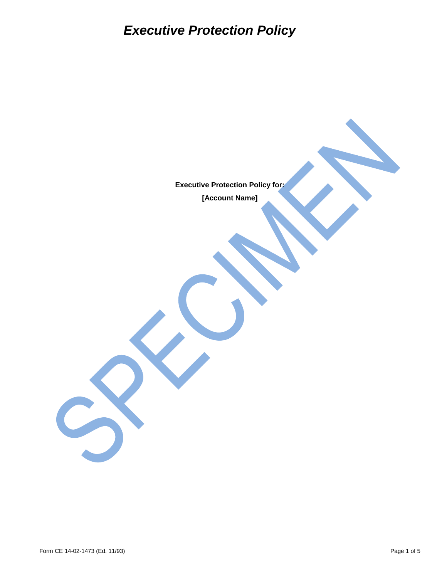## *Executive Protection Policy*

**Executive Protection Policy for: [Account Name]**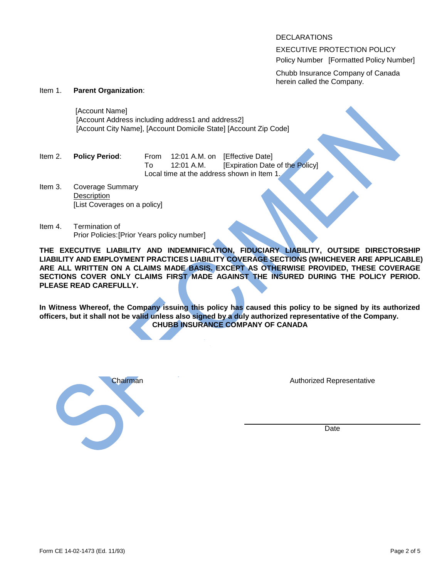DECLARATIONS

EXECUTIVE PROTECTION POLICY Policy Number [Formatted Policy Number]

Chubb Insurance Company of Canada herein called the Company.

## Item 1. **Parent Organization**:

[Account Name] [Account Address including address1 and address2] [Account City Name], [Account Domicile State] [Account Zip Code]

| ltem 2. | <b>Policy Period:</b> | From |                                            | 12:01 A.M. on [Effective Date]  |  |
|---------|-----------------------|------|--------------------------------------------|---------------------------------|--|
|         |                       | TΩ   | 12:01 A.M.                                 | [Expiration Date of the Policy] |  |
|         |                       |      | Local time at the address shown in Item 1. |                                 |  |

- Item 3. Coverage Summary **Description** [List Coverages on a policy]
- Item 4. Termination o f Prior Policies: [Prior Years policy number]

**THE EXECUTIVE LIABILITY AND INDEMNIFICATION, FIDUCIARY LIABILITY, OUTSIDE DIRECTORSHIP LIABILITY AND EMPLOYMENT PRACTICES LIABILITY COVERAGE SECTIONS (WHICHEVER ARE APPLICABLE) ARE ALL WRITTEN ON A CLAIMS MADE BASIS. EXCEPT AS OTHERWISE PROVIDED, THESE COVERAGE SECTIONS COVER ONLY CLAIMS FIRST MADE AGAINST THE INSURED DURING THE POLICY PERIOD. PLEASE READ CAREFULLY.** 

**In Witness Whereof, the Company issuing this policy has caused this policy to be signed by its authorized officers, but it shall not be valid unless also signed by a duly authorized representative of the Company. CHUBB INSURANCE COMPANY OF CANADA** 



Authorized Representative

Date